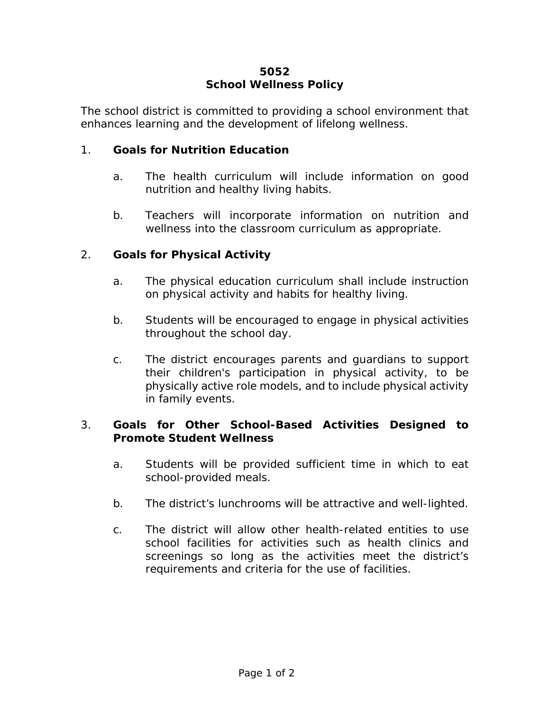# **5052 School Wellness Policy**

The school district is committed to providing a school environment that enhances learning and the development of lifelong wellness.

# 1. **Goals for Nutrition Education**

- a. The health curriculum will include information on good nutrition and healthy living habits.
- b. Teachers will incorporate information on nutrition and wellness into the classroom curriculum as appropriate.

#### 2. **Goals for Physical Activity**

- a. The physical education curriculum shall include instruction on physical activity and habits for healthy living.
- b. Students will be encouraged to engage in physical activities throughout the school day.
- c. The district encourages parents and guardians to support their children's participation in physical activity, to be physically active role models, and to include physical activity in family events.

#### 3. **Goals for Other School-Based Activities Designed to Promote Student Wellness**

- a. Students will be provided sufficient time in which to eat school-provided meals.
- b. The district's lunchrooms will be attractive and well-lighted.
- c. The district will allow other health-related entities to use school facilities for activities such as health clinics and screenings so long as the activities meet the district's requirements and criteria for the use of facilities.